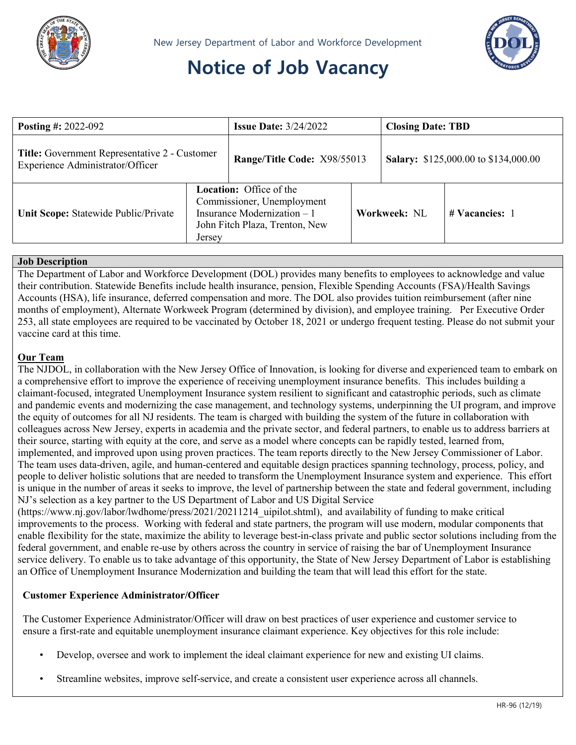

# **Notice of Job Vacancy**



| <b>Posting #: 2022-092</b>                                                        |                                                                                                                                          | <b>Issue Date:</b> $3/24/2022$ |              | <b>Closing Date: TBD</b>                    |                  |
|-----------------------------------------------------------------------------------|------------------------------------------------------------------------------------------------------------------------------------------|--------------------------------|--------------|---------------------------------------------|------------------|
| Title: Government Representative 2 - Customer<br>Experience Administrator/Officer |                                                                                                                                          | Range/Title Code: X98/55013    |              | <b>Salary:</b> \$125,000.00 to \$134,000.00 |                  |
| Unit Scope: Statewide Public/Private                                              | <b>Location:</b> Office of the<br>Commissioner, Unemployment<br>Insurance Modernization $-1$<br>John Fitch Plaza, Trenton, New<br>Jersey |                                | Workweek: NL |                                             | $#$ Vacancies: 1 |

### **Job Description**

The Department of Labor and Workforce Development (DOL) provides many benefits to employees to acknowledge and value their contribution. Statewide Benefits include health insurance, pension, Flexible Spending Accounts (FSA)/Health Savings Accounts (HSA), life insurance, deferred compensation and more. The DOL also provides tuition reimbursement (after nine months of employment), Alternate Workweek Program (determined by division), and employee training. Per Executive Order 253, all state employees are required to be vaccinated by October 18, 2021 or undergo frequent testing. Please do not submit your vaccine card at this time.

## **Our Team**

The NJDOL, in collaboration with the New Jersey Office of Innovation, is looking for diverse and experienced team to embark on a comprehensive effort to improve the experience of receiving unemployment insurance benefits. This includes building a claimant-focused, integrated Unemployment Insurance system resilient to significant and catastrophic periods, such as climate and pandemic events and modernizing the case management, and technology systems, underpinning the UI program, and improve the equity of outcomes for all NJ residents. The team is charged with building the system of the future in collaboration with colleagues across New Jersey, experts in academia and the private sector, and federal partners, to enable us to address barriers at their source, starting with equity at the core, and serve as a model where concepts can be rapidly tested, learned from, implemented, and improved upon using proven practices. The team reports directly to the New Jersey Commissioner of Labor. The team uses data-driven, agile, and human-centered and equitable design practices spanning technology, process, policy, and people to deliver holistic solutions that are needed to transform the Unemployment Insurance system and experience. This effort is unique in the number of areas it seeks to improve, the level of partnership between the state and federal government, including NJ's selection as a key partner to the US Department of Labor and US Digital Service

(https://www.nj.gov/labor/lwdhome/press/2021/20211214\_uipilot.shtml), and availability of funding to make critical improvements to the process. Working with federal and state partners, the program will use modern, modular components that enable flexibility for the state, maximize the ability to leverage best-in-class private and public sector solutions including from the federal government, and enable re-use by others across the country in service of raising the bar of Unemployment Insurance service delivery. To enable us to take advantage of this opportunity, the State of New Jersey Department of Labor is establishing an Office of Unemployment Insurance Modernization and building the team that will lead this effort for the state.

### **Customer Experience Administrator/Officer**

The Customer Experience Administrator/Officer will draw on best practices of user experience and customer service to ensure a first-rate and equitable unemployment insurance claimant experience. Key objectives for this role include:

- Develop, oversee and work to implement the ideal claimant experience for new and existing UI claims.
- Streamline websites, improve self-service, and create a consistent user experience across all channels.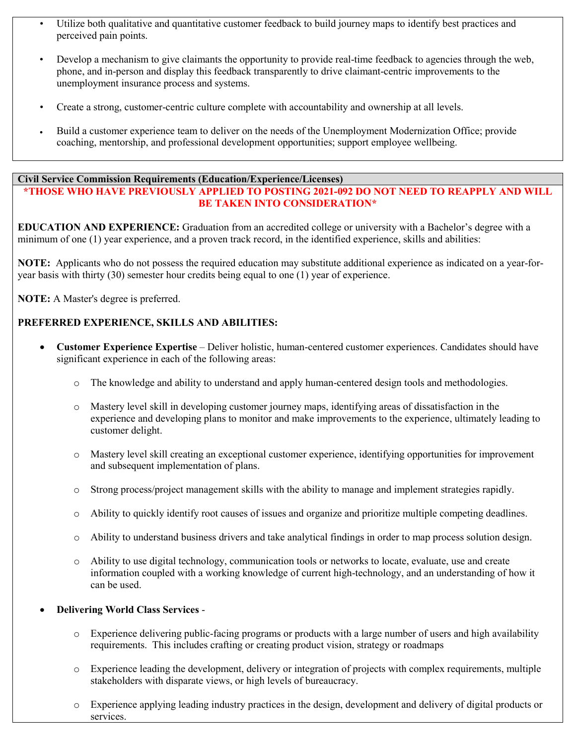- Utilize both qualitative and quantitative customer feedback to build journey maps to identify best practices and perceived pain points.
- Develop a mechanism to give claimants the opportunity to provide real-time feedback to agencies through the web, phone, and in-person and display this feedback transparently to drive claimant-centric improvements to the unemployment insurance process and systems.
- Create a strong, customer-centric culture complete with accountability and ownership at all levels.
- Build a customer experience team to deliver on the needs of the Unemployment Modernization Office; provide coaching, mentorship, and professional development opportunities; support employee wellbeing.

## **Civil Service Commission Requirements (Education/Experience/Licenses)**

## **\*THOSE WHO HAVE PREVIOUSLY APPLIED TO POSTING 2021-092 DO NOT NEED TO REAPPLY AND WILL BE TAKEN INTO CONSIDERATION\***

**EDUCATION AND EXPERIENCE:** Graduation from an accredited college or university with a Bachelor's degree with a minimum of one (1) year experience, and a proven track record, in the identified experience, skills and abilities:

**NOTE:** Applicants who do not possess the required education may substitute additional experience as indicated on a year-foryear basis with thirty (30) semester hour credits being equal to one (1) year of experience.

**NOTE:** A Master's degree is preferred.

## **PREFERRED EXPERIENCE, SKILLS AND ABILITIES:**

- **Customer Experience Expertise** Deliver holistic, human-centered customer experiences. Candidates should have significant experience in each of the following areas:
	- o The knowledge and ability to understand and apply human-centered design tools and methodologies.
	- o Mastery level skill in developing customer journey maps, identifying areas of dissatisfaction in the experience and developing plans to monitor and make improvements to the experience, ultimately leading to customer delight.
	- o Mastery level skill creating an exceptional customer experience, identifying opportunities for improvement and subsequent implementation of plans.
	- o Strong process/project management skills with the ability to manage and implement strategies rapidly.
	- o Ability to quickly identify root causes of issues and organize and prioritize multiple competing deadlines.
	- o Ability to understand business drivers and take analytical findings in order to map process solution design.
	- o Ability to use digital technology, communication tools or networks to locate, evaluate, use and create information coupled with a working knowledge of current high-technology, and an understanding of how it can be used.

### • **Delivering World Class Services** -

- o Experience delivering public-facing programs or products with a large number of users and high availability requirements. This includes crafting or creating product vision, strategy or roadmaps
- o Experience leading the development, delivery or integration of projects with complex requirements, multiple stakeholders with disparate views, or high levels of bureaucracy.
- o Experience applying leading industry practices in the design, development and delivery of digital products or services.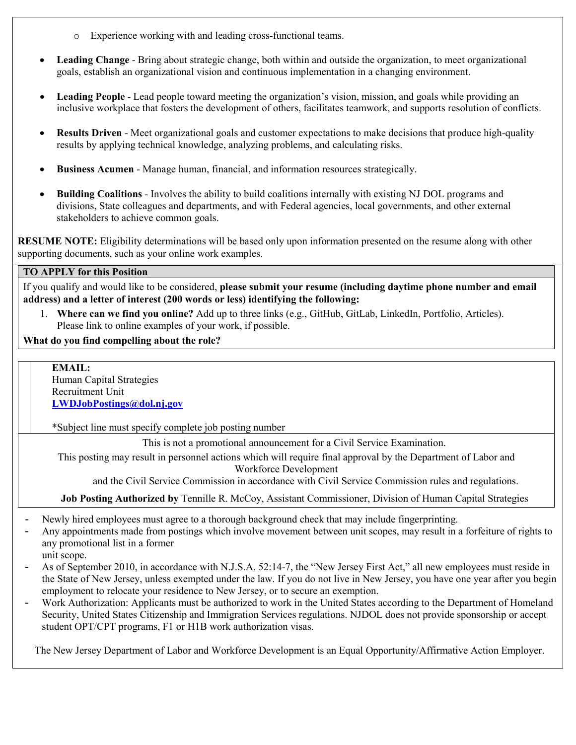- o Experience working with and leading cross-functional teams.
- **Leading Change** Bring about strategic change, both within and outside the organization, to meet organizational goals, establish an organizational vision and continuous implementation in a changing environment.
- **Leading People** Lead people toward meeting the organization's vision, mission, and goals while providing an inclusive workplace that fosters the development of others, facilitates teamwork, and supports resolution of conflicts.
- **Results Driven** Meet organizational goals and customer expectations to make decisions that produce high-quality results by applying technical knowledge, analyzing problems, and calculating risks.
- **Business Acumen** Manage human, financial, and information resources strategically.
- **Building Coalitions** Involves the ability to build coalitions internally with existing NJ DOL programs and divisions, State colleagues and departments, and with Federal agencies, local governments, and other external stakeholders to achieve common goals.

**RESUME NOTE:** Eligibility determinations will be based only upon information presented on the resume along with other supporting documents, such as your online work examples.

## **TO APPLY for this Position**

If you qualify and would like to be considered, **please submit your resume (including daytime phone number and email address) and a letter of interest (200 words or less) identifying the following:** 

1. **Where can we find you online?** Add up to three links (e.g., GitHub, GitLab, LinkedIn, Portfolio, Articles). Please link to online examples of your work, if possible.

### **What do you find compelling about the role?**

**EMAIL:** Human Capital Strategies Recruitment Unit **[LWDJobPostings@dol.nj.gov](mailto:LWDJobPostings@dol.nj.gov)** \*Subject line must specify complete job posting number

This is not a promotional announcement for a Civil Service Examination.

This posting may result in personnel actions which will require final approval by the Department of Labor and Workforce Development

and the Civil Service Commission in accordance with Civil Service Commission rules and regulations.

**Job Posting Authorized by** Tennille R. McCoy, Assistant Commissioner, Division of Human Capital Strategies

- Newly hired employees must agree to a thorough background check that may include fingerprinting.
- Any appointments made from postings which involve movement between unit scopes, may result in a forfeiture of rights to any promotional list in a former
- unit scope.
- As of September 2010, in accordance with N.J.S.A. 52:14-7, the "New Jersey First Act," all new employees must reside in the State of New Jersey, unless exempted under the law. If you do not live in New Jersey, you have one year after you begin employment to relocate your residence to New Jersey, or to secure an exemption.
- Work Authorization: Applicants must be authorized to work in the United States according to the Department of Homeland Security, United States Citizenship and Immigration Services regulations. NJDOL does not provide sponsorship or accept student OPT/CPT programs, F1 or H1B work authorization visas.

The New Jersey Department of Labor and Workforce Development is an Equal Opportunity/Affirmative Action Employer.